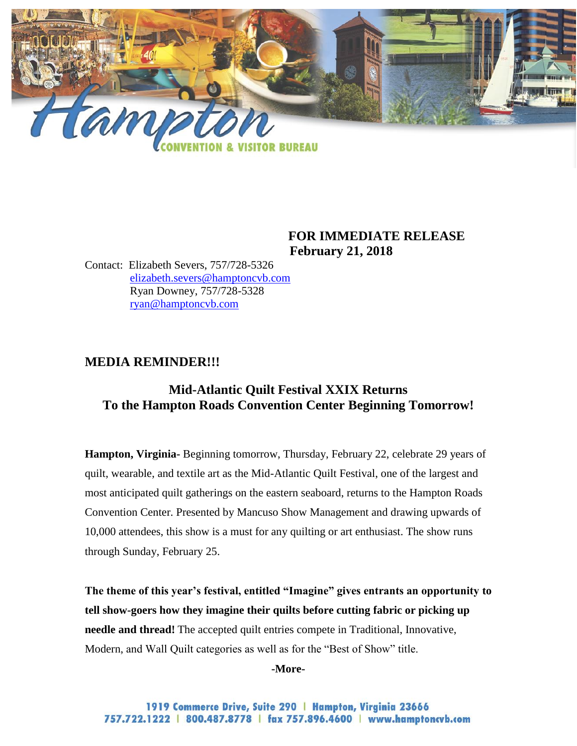

### **FOR IMMEDIATE RELEASE February 21, 2018**

Contact: Elizabeth Severs, 757/728-5326 [elizabeth.severs@hamptoncvb.com](mailto:elizabeth.severs@hamptoncvb.com) Ryan Downey, 757/728-5328 [ryan@hamptoncvb.com](mailto:ryan@hamptoncvb.com)

# **MEDIA REMINDER!!!**

# **Mid-Atlantic Quilt Festival XXIX Returns To the Hampton Roads Convention Center Beginning Tomorrow!**

**Hampton, Virginia-** Beginning tomorrow, Thursday, February 22, celebrate 29 years of quilt, wearable, and textile art as the Mid-Atlantic Quilt Festival, one of the largest and most anticipated quilt gatherings on the eastern seaboard, returns to the Hampton Roads Convention Center. Presented by Mancuso Show Management and drawing upwards of 10,000 attendees, this show is a must for any quilting or art enthusiast. The show runs through Sunday, February 25.

**The theme of this year's festival, entitled "Imagine" gives entrants an opportunity to tell show-goers how they imagine their quilts before cutting fabric or picking up needle and thread!** The accepted quilt entries compete in Traditional, Innovative, Modern, and Wall Quilt categories as well as for the "Best of Show" title.

**-More-**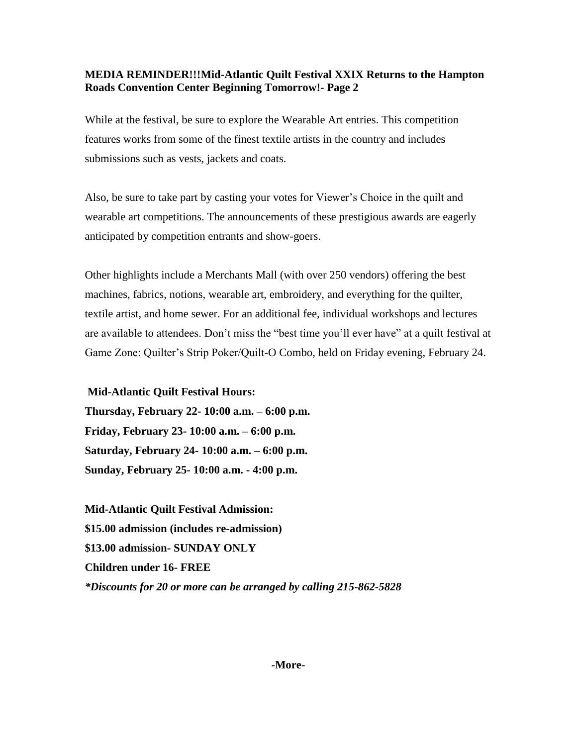#### **MEDIA REMINDER!!!Mid-Atlantic Quilt Festival XXIX Returns to the Hampton Roads Convention Center Beginning Tomorrow!- Page 2**

While at the festival, be sure to explore the Wearable Art entries. This competition features works from some of the finest textile artists in the country and includes submissions such as vests, jackets and coats.

Also, be sure to take part by casting your votes for Viewer's Choice in the quilt and wearable art competitions. The announcements of these prestigious awards are eagerly anticipated by competition entrants and show-goers.

Other highlights include a Merchants Mall (with over 250 vendors) offering the best machines, fabrics, notions, wearable art, embroidery, and everything for the quilter, textile artist, and home sewer. For an additional fee, individual workshops and lectures are available to attendees. Don't miss the "best time you'll ever have" at a quilt festival at Game Zone: Quilter's Strip Poker/Quilt-O Combo, held on Friday evening, February 24.

**Mid-Atlantic Quilt Festival Hours:**

**Thursday, February 22- 10:00 a.m. – 6:00 p.m. Friday, February 23- 10:00 a.m. – 6:00 p.m. Saturday, February 24- 10:00 a.m. – 6:00 p.m. Sunday, February 25- 10:00 a.m. - 4:00 p.m.**

**Mid-Atlantic Quilt Festival Admission: \$15.00 admission (includes re-admission) \$13.00 admission- SUNDAY ONLY Children under 16- FREE** *\*Discounts for 20 or more can be arranged by calling 215-862-5828*